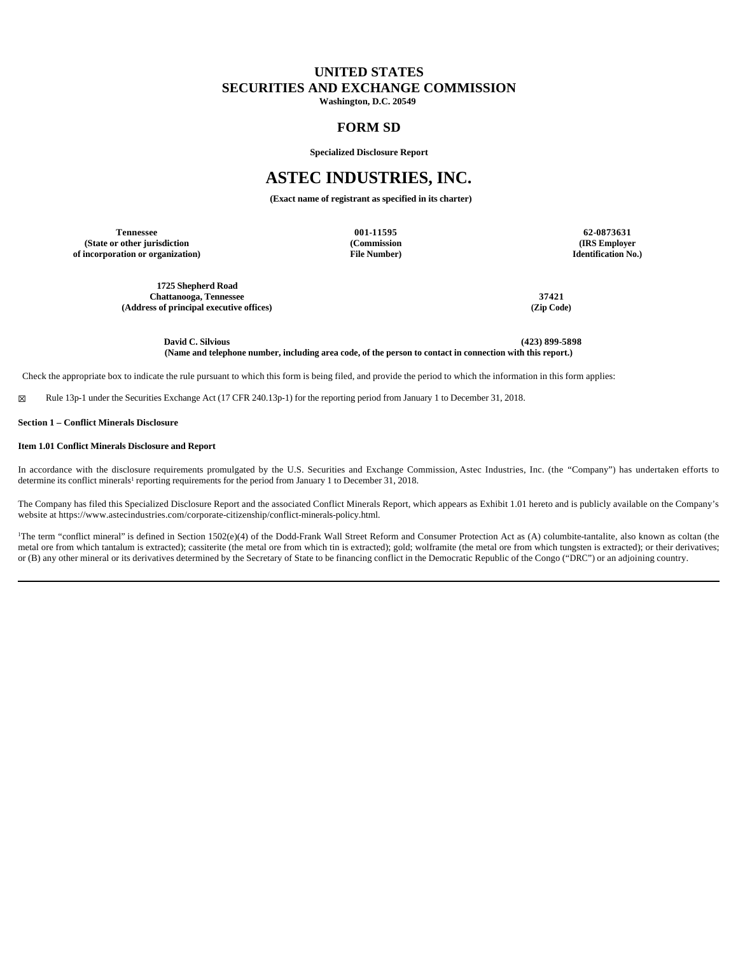# **UNITED STATES SECURITIES AND EXCHANGE COMMISSION**

**Washington, D.C. 20549**

# **FORM SD**

**Specialized Disclosure Report**

# **ASTEC INDUSTRIES, INC.**

**(Exact name of registrant as specified in its charter)**

**Tennessee 001-11595 62-0873631 (State or other jurisdiction of incorporation or organization)**

**(Commission File Number)**

**(IRS Employer Identification No.)**

**1725 Shepherd Road Chattanooga, Tennessee 37421 (Address of principal executive offices) (Zip Code)**

**David C. Silvious (423) 899-5898 (Name and telephone number, including area code, of the person to contact in connection with this report.)**

Check the appropriate box to indicate the rule pursuant to which this form is being filed, and provide the period to which the information in this form applies:

☒ Rule 13p-1 under the Securities Exchange Act (17 CFR 240.13p-1) for the reporting period from January 1 to December 31, 2018.

### **Section 1 – Conflict Minerals Disclosure**

### **Item 1.01 Conflict Minerals Disclosure and Report**

In accordance with the disclosure requirements promulgated by the U.S. Securities and Exchange Commission, Astec Industries, Inc. (the "Company") has undertaken efforts to determine its conflict minerals<sup>1</sup> reporting requirements for the period from January 1 to December 31, 2018.

The Company has filed this Specialized Disclosure Report and the associated Conflict Minerals Report, which appears as Exhibit 1.01 hereto and is publicly available on the Company's website at https://www.astecindustries.com/corporate-citizenship/conflict-minerals-policy.html.

<sup>1</sup>The term "conflict mineral" is defined in Section 1502(e)(4) of the Dodd-Frank Wall Street Reform and Consumer Protection Act as (A) columbite-tantalite, also known as coltan (the metal ore from which tantalum is extracted); cassiterite (the metal ore from which tin is extracted); gold; wolframite (the metal ore from which tungsten is extracted); or their derivatives; or (B) any other mineral or its derivatives determined by the Secretary of State to be financing conflict in the Democratic Republic of the Congo ("DRC") or an adjoining country.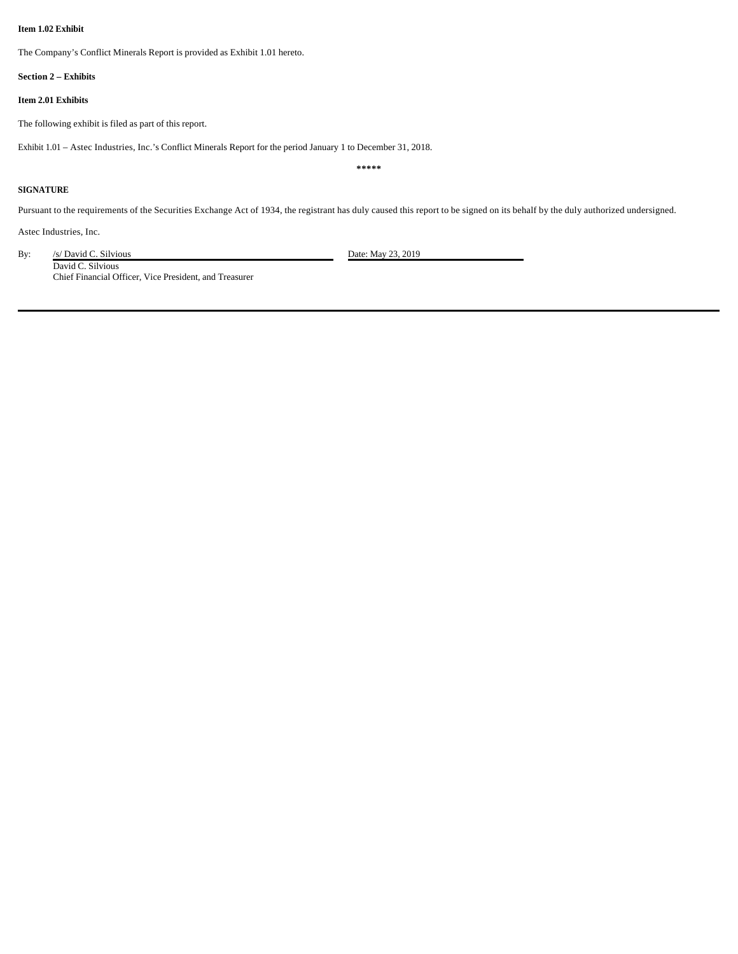### **Item 1.02 Exhibit**

The Company's Conflict Minerals Report is provided as Exhibit 1.01 hereto.

#### **Section 2 – Exhibits**

### **Item 2.01 Exhibits**

The following exhibit is filed as part of this report.

Exhibit 1.01 – Astec Industries, Inc.'s Conflict Minerals Report for the period January 1 to December 31, 2018.

#### **\*\*\*\*\***

### **SIGNATURE**

Pursuant to the requirements of the Securities Exchange Act of 1934, the registrant has duly caused this report to be signed on its behalf by the duly authorized undersigned.

Astec Industries, Inc.

By: /s/ David C. Silvious Date: May 23, 2019

David C. Silvious Chief Financial Officer, Vice President, and Treasurer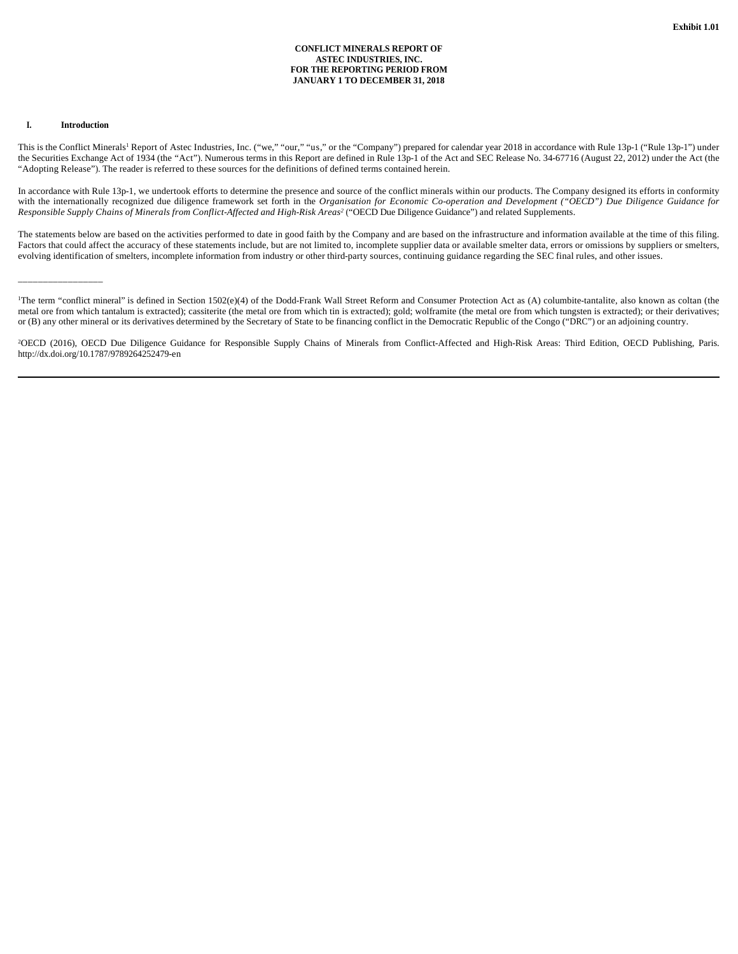### **CONFLICT MINERALS REPORT OF ASTEC INDUSTRIES, INC. FOR THE REPORTING PERIOD FROM JANUARY 1 TO DECEMBER 31, 2018**

### **I. Introduction**

\_\_\_\_\_\_\_\_\_\_\_\_\_\_\_\_\_\_\_\_\_

This is the Conflict Minerals<sup>1</sup> Report of Astec Industries, Inc. ("we," "our," "us," or the "Company") prepared for calendar year 2018 in accordance with Rule 13p-1 ("Rule 13p-1") under the Securities Exchange Act of 1934 (the "Act"). Numerous terms in this Report are defined in Rule 13p-1 of the Act and SEC Release No. 34-67716 (August 22, 2012) under the Act (the "Adopting Release"). The reader is referred to these sources for the definitions of defined terms contained herein.

In accordance with Rule 13p-1, we undertook efforts to determine the presence and source of the conflict minerals within our products. The Company designed its efforts in conformity with the internationally recognized due diligence framework set forth in the *Organisation for Economic Co-operation and Development ("OECD") Due Diligence Guidance for Responsible Supply Chains of Minerals from Conflict-Affected and High-Risk Areas<sup>2</sup>* ("OECD Due Diligence Guidance") and related Supplements.

The statements below are based on the activities performed to date in good faith by the Company and are based on the infrastructure and information available at the time of this filing. Factors that could affect the accuracy of these statements include, but are not limited to, incomplete supplier data or available smelter data, errors or omissions by suppliers or smelters, evolving identification of smelters, incomplete information from industry or other third-party sources, continuing guidance regarding the SEC final rules, and other issues.

<sup>1</sup>The term "conflict mineral" is defined in Section 1502(e)(4) of the Dodd-Frank Wall Street Reform and Consumer Protection Act as (A) columbite-tantalite, also known as coltan (the metal ore from which tantalum is extracted); cassiterite (the metal ore from which tin is extracted); gold; wolframite (the metal ore from which tungsten is extracted); or their derivatives; or (B) any other mineral or its derivatives determined by the Secretary of State to be financing conflict in the Democratic Republic of the Congo ("DRC") or an adjoining country.

<sup>2</sup>OECD (2016), OECD Due Diligence Guidance for Responsible Supply Chains of Minerals from Conflict-Affected and High-Risk Areas: Third Edition, OECD Publishing, Paris. http://dx.doi.org/10.1787/9789264252479-en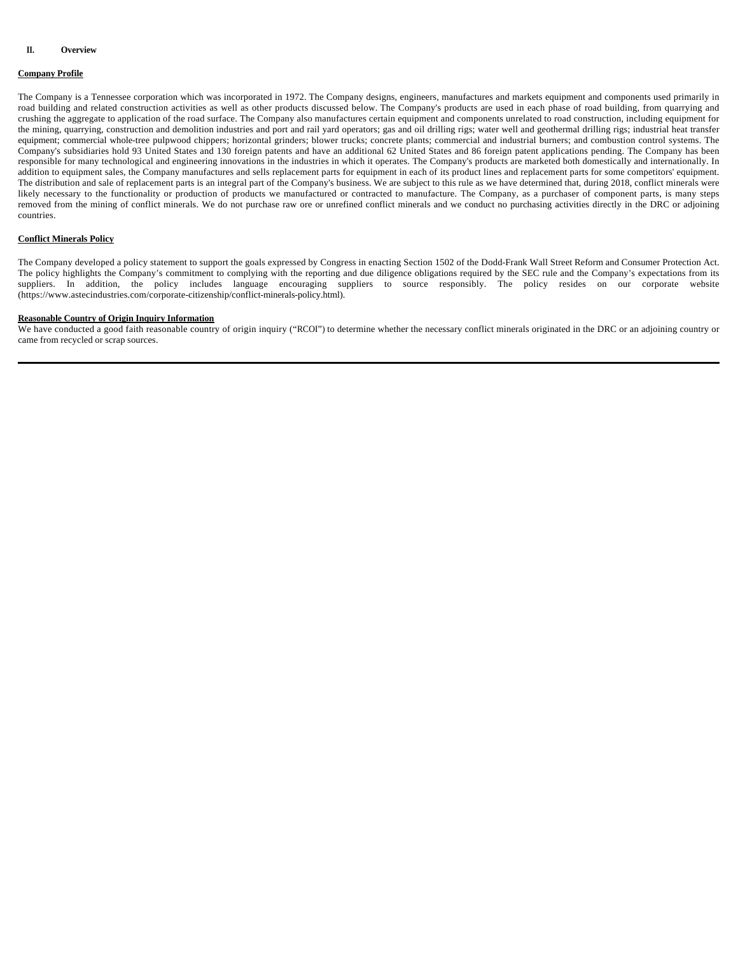# **Company Profile**

The Company is a Tennessee corporation which was incorporated in 1972. The Company designs, engineers, manufactures and markets equipment and components used primarily in road building and related construction activities as well as other products discussed below. The Company's products are used in each phase of road building, from quarrying and crushing the aggregate to application of the road surface. The Company also manufactures certain equipment and components unrelated to road construction, including equipment for the mining, quarrying, construction and demolition industries and port and rail yard operators; gas and oil drilling rigs; water well and geothermal drilling rigs; industrial heat transfer equipment; commercial whole-tree pulpwood chippers; horizontal grinders; blower trucks; concrete plants; commercial and industrial burners; and combustion control systems. The Company's subsidiaries hold 93 United States and 130 foreign patents and have an additional 62 United States and 86 foreign patent applications pending. The Company has been responsible for many technological and engineering innovations in the industries in which it operates. The Company's products are marketed both domestically and internationally. In addition to equipment sales, the Company manufactures and sells replacement parts for equipment in each of its product lines and replacement parts for some competitors' equipment. The distribution and sale of replacement parts is an integral part of the Company's business. We are subject to this rule as we have determined that, during 2018, conflict minerals were likely necessary to the functionality or production of products we manufactured or contracted to manufacture. The Company, as a purchaser of component parts, is many steps removed from the mining of conflict minerals. We do not purchase raw ore or unrefined conflict minerals and we conduct no purchasing activities directly in the DRC or adjoining countries.

### **Conflict Minerals Policy**

The Company developed a policy statement to support the goals expressed by Congress in enacting Section 1502 of the Dodd-Frank Wall Street Reform and Consumer Protection Act. The policy highlights the Company's commitment to complying with the reporting and due diligence obligations required by the SEC rule and the Company's expectations from its suppliers. In addition, the policy includes language encouraging suppliers to source responsibly. The policy resides on our corporate website (https://www.astecindustries.com/corporate-citizenship/conflict-minerals-policy.html).

### **Reasonable Country of Origin Inquiry Information**

We have conducted a good faith reasonable country of origin inquiry ("RCOI") to determine whether the necessary conflict minerals originated in the DRC or an adjoining country or came from recycled or scrap sources.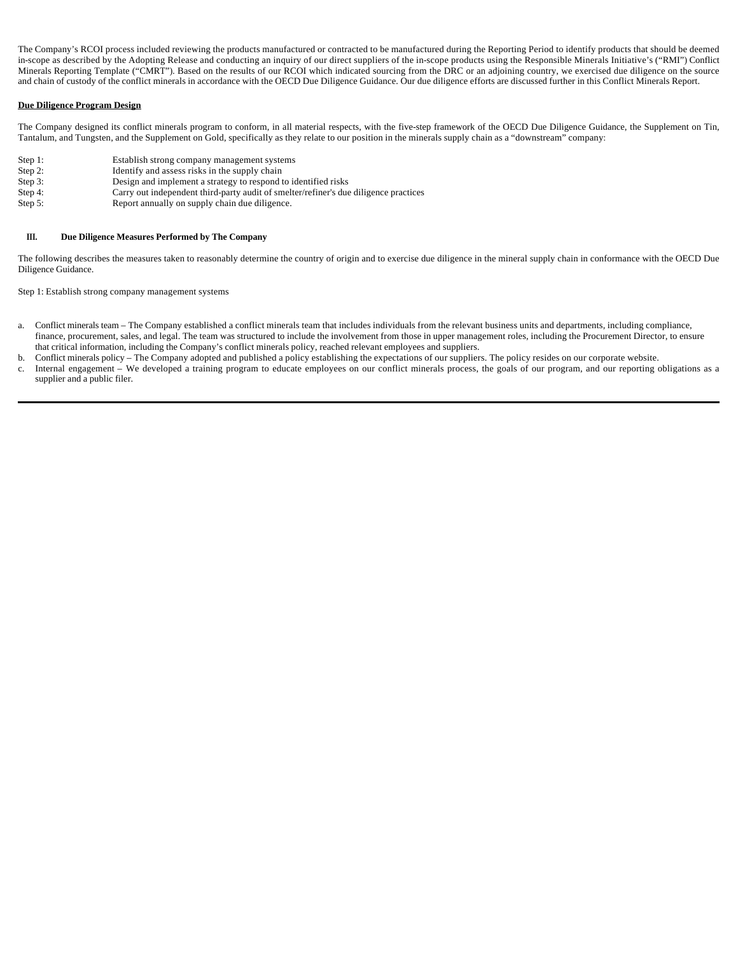The Company's RCOI process included reviewing the products manufactured or contracted to be manufactured during the Reporting Period to identify products that should be deemed in-scope as described by the Adopting Release and conducting an inquiry of our direct suppliers of the in-scope products using the Responsible Minerals Initiative's ("RMI") Conflict Minerals Reporting Template ("CMRT"). Based on the results of our RCOI which indicated sourcing from the DRC or an adjoining country, we exercised due diligence on the source and chain of custody of the conflict minerals in accordance with the OECD Due Diligence Guidance. Our due diligence efforts are discussed further in this Conflict Minerals Report.

### **Due Diligence Program Design**

The Company designed its conflict minerals program to conform, in all material respects, with the five-step framework of the OECD Due Diligence Guidance, the Supplement on Tin, Tantalum, and Tungsten, and the Supplement on Gold, specifically as they relate to our position in the minerals supply chain as a "downstream" company:

- Step 1: Establish strong company management systems
- Step 2: Identify and assess risks in the supply chain<br>Step 3: Design and implement a strategy to respond
- Design and implement a strategy to respond to identified risks
- Step 4: Carry out independent third-party audit of smelter/refiner's due diligence practices
- Step 5: Report annually on supply chain due diligence.

### **III. Due Diligence Measures Performed by The Company**

The following describes the measures taken to reasonably determine the country of origin and to exercise due diligence in the mineral supply chain in conformance with the OECD Due Diligence Guidance.

Step 1: Establish strong company management systems

- a. Conflict minerals team The Company established a conflict minerals team that includes individuals from the relevant business units and departments, including compliance, finance, procurement, sales, and legal. The team was structured to include the involvement from those in upper management roles, including the Procurement Director, to ensure that critical information, including the Company's conflict minerals policy, reached relevant employees and suppliers.
- b. Conflict minerals policy The Company adopted and published a policy establishing the expectations of our suppliers. The policy resides on our corporate website.
- c. Internal engagement We developed a training program to educate employees on our conflict minerals process, the goals of our program, and our reporting obligations as a supplier and a public filer.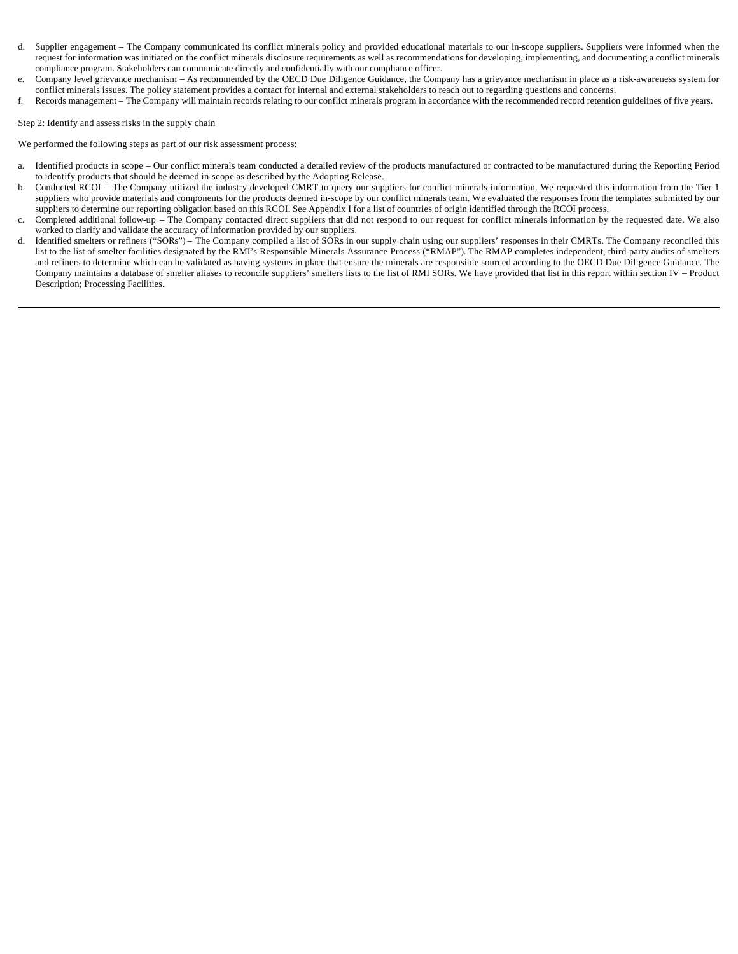- d. Supplier engagement The Company communicated its conflict minerals policy and provided educational materials to our in-scope suppliers. Suppliers were informed when the request for information was initiated on the conflict minerals disclosure requirements as well as recommendations for developing, implementing, and documenting a conflict minerals compliance program. Stakeholders can communicate directly and confidentially with our compliance officer.
- e. Company level grievance mechanism As recommended by the OECD Due Diligence Guidance, the Company has a grievance mechanism in place as a risk-awareness system for conflict minerals issues. The policy statement provides a contact for internal and external stakeholders to reach out to regarding questions and concerns.
- f. Records management The Company will maintain records relating to our conflict minerals program in accordance with the recommended record retention guidelines of five years.

Step 2: Identify and assess risks in the supply chain

We performed the following steps as part of our risk assessment process:

- a. Identified products in scope Our conflict minerals team conducted a detailed review of the products manufactured or contracted to be manufactured during the Reporting Period to identify products that should be deemed in-scope as described by the Adopting Release.
- b. Conducted RCOI The Company utilized the industry-developed CMRT to query our suppliers for conflict minerals information. We requested this information from the Tier 1 suppliers who provide materials and components for the products deemed in-scope by our conflict minerals team. We evaluated the responses from the templates submitted by our suppliers to determine our reporting obligation based on this RCOI. See Appendix I for a list of countries of origin identified through the RCOI process.
- c. Completed additional follow-up The Company contacted direct suppliers that did not respond to our request for conflict minerals information by the requested date. We also worked to clarify and validate the accuracy of information provided by our suppliers.
- d. Identified smelters or refiners ("SORs") The Company compiled a list of SORs in our supply chain using our suppliers' responses in their CMRTs. The Company reconciled this list to the list of smelter facilities designated by the RMI's Responsible Minerals Assurance Process ("RMAP"). The RMAP completes independent, third-party audits of smelters and refiners to determine which can be validated as having systems in place that ensure the minerals are responsible sourced according to the OECD Due Diligence Guidance. The Company maintains a database of smelter aliases to reconcile suppliers' smelters lists to the list of RMI SORs. We have provided that list in this report within section IV – Product Description; Processing Facilities.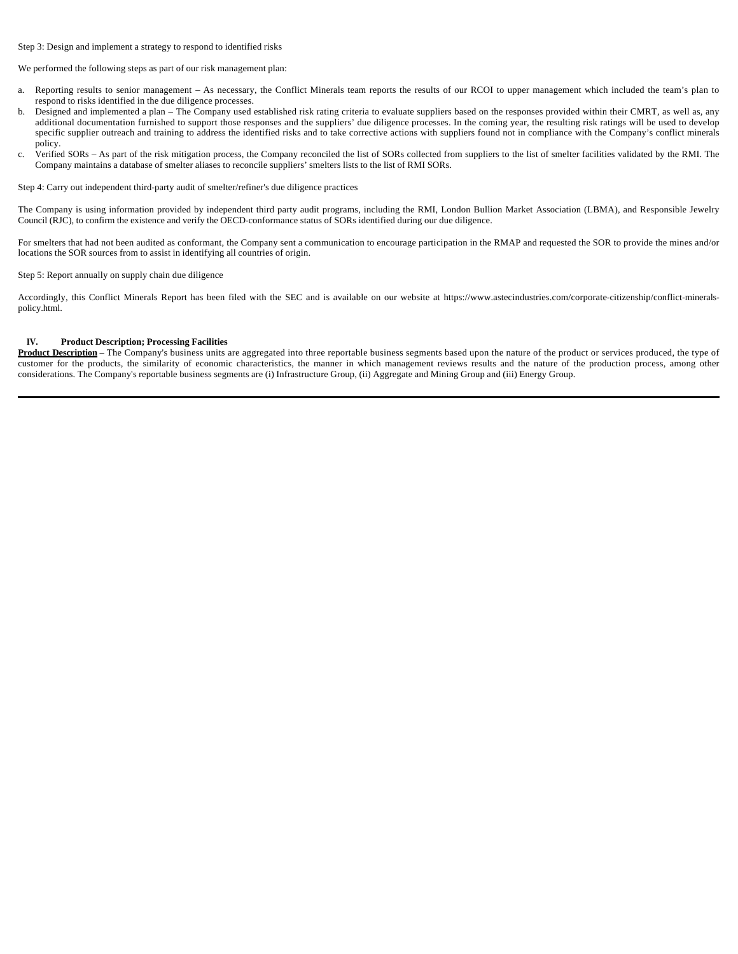### Step 3: Design and implement a strategy to respond to identified risks

We performed the following steps as part of our risk management plan:

- a. Reporting results to senior management As necessary, the Conflict Minerals team reports the results of our RCOI to upper management which included the team's plan to respond to risks identified in the due diligence processes.
- b. Designed and implemented a plan The Company used established risk rating criteria to evaluate suppliers based on the responses provided within their CMRT, as well as, any additional documentation furnished to support those responses and the suppliers' due diligence processes. In the coming year, the resulting risk ratings will be used to develop specific supplier outreach and training to address the identified risks and to take corrective actions with suppliers found not in compliance with the Company's conflict minerals policy.
- c. Verified SORs As part of the risk mitigation process, the Company reconciled the list of SORs collected from suppliers to the list of smelter facilities validated by the RMI. The Company maintains a database of smelter aliases to reconcile suppliers' smelters lists to the list of RMI SORs.

Step 4: Carry out independent third-party audit of smelter/refiner's due diligence practices

The Company is using information provided by independent third party audit programs, including the RMI, London Bullion Market Association (LBMA), and Responsible Jewelry Council (RJC), to confirm the existence and verify the OECD-conformance status of SORs identified during our due diligence.

For smelters that had not been audited as conformant, the Company sent a communication to encourage participation in the RMAP and requested the SOR to provide the mines and/or locations the SOR sources from to assist in identifying all countries of origin.

#### Step 5: Report annually on supply chain due diligence

Accordingly, this Conflict Minerals Report has been filed with the SEC and is available on our website at https://www.astecindustries.com/corporate-citizenship/conflict-mineralspolicy.html.

### **IV. Product Description; Processing Facilities**

Product Description - The Company's business units are aggregated into three reportable business segments based upon the nature of the product or services produced, the type of customer for the products, the similarity of economic characteristics, the manner in which management reviews results and the nature of the production process, among other considerations. The Company's reportable business segments are (i) Infrastructure Group, (ii) Aggregate and Mining Group and (iii) Energy Group.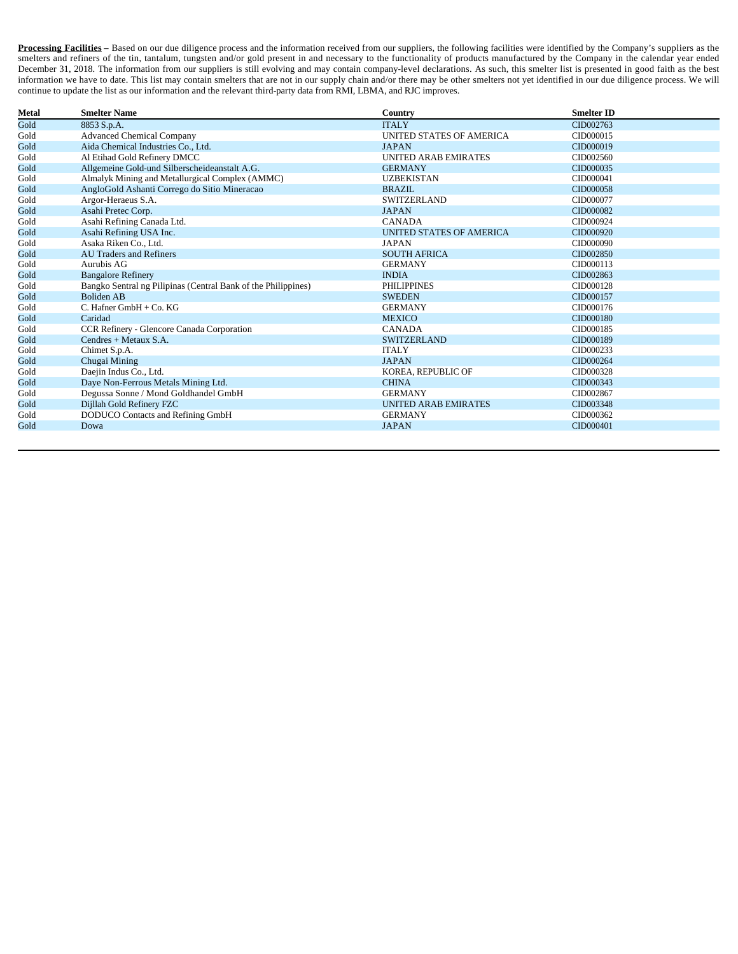**Processing Facilities** – Based on our due diligence process and the information received from our suppliers, the following facilities were identified by the Company's suppliers as the smelters and refiners of the tin, tantalum, tungsten and/or gold present in and necessary to the functionality of products manufactured by the Company in the calendar year ended December 31, 2018. The information from our suppliers is still evolving and may contain company-level declarations. As such, this smelter list is presented in good faith as the best information we have to date. This list may contain smelters that are not in our supply chain and/or there may be other smelters not yet identified in our due diligence process. We will continue to update the list as our information and the relevant third-party data from RMI, LBMA, and RJC improves.

| Metal | <b>Smelter Name</b>                                           | Country                     | <b>Smelter ID</b> |
|-------|---------------------------------------------------------------|-----------------------------|-------------------|
| Gold  | 8853 S.p.A.                                                   | <b>ITALY</b>                | CID002763         |
| Gold  | <b>Advanced Chemical Company</b>                              | UNITED STATES OF AMERICA    | CID000015         |
| Gold  | Aida Chemical Industries Co., Ltd.                            | <b>JAPAN</b>                | CID000019         |
| Gold  | Al Etihad Gold Refinery DMCC                                  | <b>UNITED ARAB EMIRATES</b> | CID002560         |
| Gold  | Allgemeine Gold-und Silberscheideanstalt A.G.                 | <b>GERMANY</b>              | CID000035         |
| Gold  | Almalyk Mining and Metallurgical Complex (AMMC)               | <b>UZBEKISTAN</b>           | CID000041         |
| Gold  | AngloGold Ashanti Corrego do Sitio Mineracao                  | <b>BRAZIL</b>               | CID000058         |
| Gold  | Argor-Heraeus S.A.                                            | <b>SWITZERLAND</b>          | CID000077         |
| Gold  | Asahi Pretec Corp.                                            | <b>JAPAN</b>                | CID000082         |
| Gold  | Asahi Refining Canada Ltd.                                    | <b>CANADA</b>               | CID000924         |
| Gold  | Asahi Refining USA Inc.                                       | UNITED STATES OF AMERICA    | CID000920         |
| Gold  | Asaka Riken Co., Ltd.                                         | <b>JAPAN</b>                | CID000090         |
| Gold  | <b>AU Traders and Refiners</b>                                | <b>SOUTH AFRICA</b>         | CID002850         |
| Gold  | Aurubis AG                                                    | <b>GERMANY</b>              | CID000113         |
| Gold  | <b>Bangalore Refinery</b>                                     | <b>INDIA</b>                | CID002863         |
| Gold  | Bangko Sentral ng Pilipinas (Central Bank of the Philippines) | <b>PHILIPPINES</b>          | CID000128         |
| Gold  | <b>Boliden AB</b>                                             | <b>SWEDEN</b>               | CID000157         |
| Gold  | C. Hafner $GmbH + Co. KG$                                     | <b>GERMANY</b>              | CID000176         |
| Gold  | Caridad                                                       | <b>MEXICO</b>               | CID000180         |
| Gold  | CCR Refinery - Glencore Canada Corporation                    | <b>CANADA</b>               | CID000185         |
| Gold  | Cendres + Metaux S.A.                                         | <b>SWITZERLAND</b>          | CID000189         |
| Gold  | Chimet S.p.A.                                                 | <b>ITALY</b>                | CID000233         |
| Gold  | Chugai Mining                                                 | <b>JAPAN</b>                | CID000264         |
| Gold  | Daejin Indus Co., Ltd.                                        | KOREA, REPUBLIC OF          | CID000328         |
| Gold  | Daye Non-Ferrous Metals Mining Ltd.                           | <b>CHINA</b>                | CID000343         |
| Gold  | Degussa Sonne / Mond Goldhandel GmbH                          | <b>GERMANY</b>              | CID002867         |
| Gold  | Dijllah Gold Refinery FZC                                     | <b>UNITED ARAB EMIRATES</b> | CID003348         |
| Gold  | DODUCO Contacts and Refining GmbH                             | <b>GERMANY</b>              | CID000362         |
| Gold  | Dowa                                                          | <b>JAPAN</b>                | CID000401         |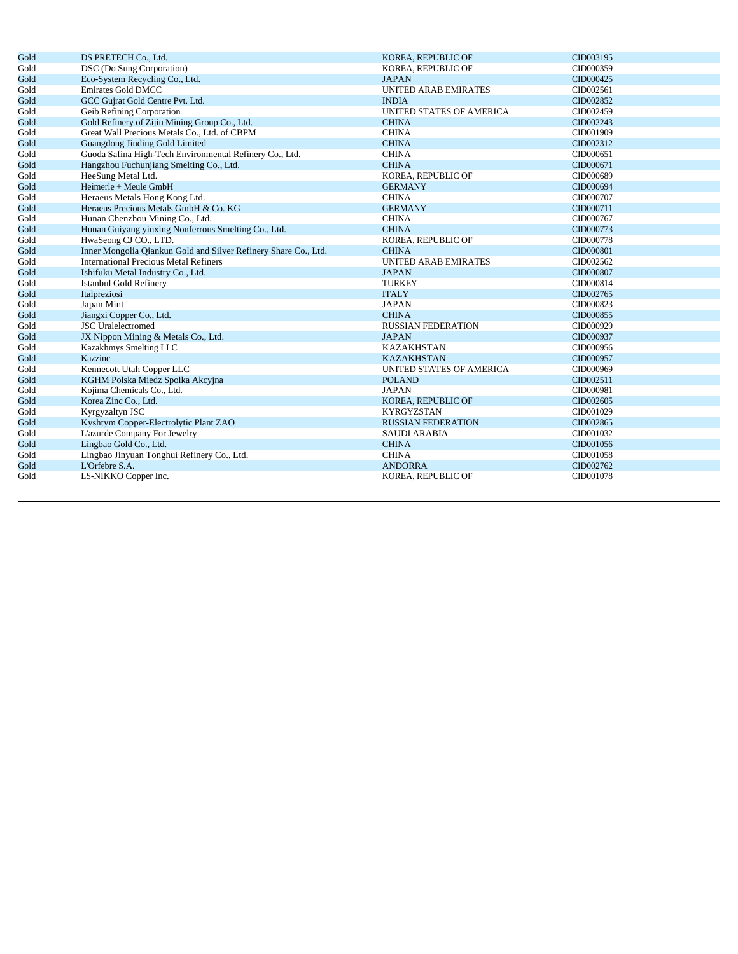| Gold | DS PRETECH Co., Ltd.                                            | KOREA, REPUBLIC OF          | CID003195 |
|------|-----------------------------------------------------------------|-----------------------------|-----------|
| Gold | DSC (Do Sung Corporation)                                       | KOREA, REPUBLIC OF          | CID000359 |
| Gold | Eco-System Recycling Co., Ltd.                                  | <b>JAPAN</b>                | CID000425 |
| Gold | <b>Emirates Gold DMCC</b>                                       | <b>UNITED ARAB EMIRATES</b> | CID002561 |
| Gold | GCC Gujrat Gold Centre Pvt. Ltd.                                | <b>INDIA</b>                | CID002852 |
| Gold | Geib Refining Corporation                                       | UNITED STATES OF AMERICA    | CID002459 |
| Gold | Gold Refinery of Zijin Mining Group Co., Ltd.                   | <b>CHINA</b>                | CID002243 |
| Gold | Great Wall Precious Metals Co., Ltd. of CBPM                    | <b>CHINA</b>                | CID001909 |
| Gold | Guangdong Jinding Gold Limited                                  | <b>CHINA</b>                | CID002312 |
| Gold | Guoda Safina High-Tech Environmental Refinery Co., Ltd.         | <b>CHINA</b>                | CID000651 |
| Gold | Hangzhou Fuchunjiang Smelting Co., Ltd.                         | <b>CHINA</b>                | CID000671 |
| Gold | HeeSung Metal Ltd.                                              | KOREA, REPUBLIC OF          | CID000689 |
| Gold | Heimerle + Meule GmbH                                           | <b>GERMANY</b>              | CID000694 |
| Gold | Heraeus Metals Hong Kong Ltd.                                   | <b>CHINA</b>                | CID000707 |
| Gold | Heraeus Precious Metals GmbH & Co. KG                           | <b>GERMANY</b>              | CID000711 |
| Gold | Hunan Chenzhou Mining Co., Ltd.                                 | <b>CHINA</b>                | CID000767 |
| Gold | Hunan Guiyang yinxing Nonferrous Smelting Co., Ltd.             | <b>CHINA</b>                | CID000773 |
| Gold | HwaSeong CJ CO., LTD.                                           | KOREA, REPUBLIC OF          | CID000778 |
| Gold | Inner Mongolia Qiankun Gold and Silver Refinery Share Co., Ltd. | <b>CHINA</b>                | CID000801 |
| Gold | <b>International Precious Metal Refiners</b>                    | UNITED ARAB EMIRATES        | CID002562 |
| Gold | Ishifuku Metal Industry Co., Ltd.                               | <b>JAPAN</b>                | CID000807 |
| Gold | <b>Istanbul Gold Refinery</b>                                   | <b>TURKEY</b>               | CID000814 |
| Gold | Italpreziosi                                                    | <b>ITALY</b>                | CID002765 |
| Gold | Japan Mint                                                      | <b>JAPAN</b>                | CID000823 |
| Gold | Jiangxi Copper Co., Ltd.                                        | <b>CHINA</b>                | CID000855 |
| Gold | <b>JSC</b> Uralelectromed                                       | <b>RUSSIAN FEDERATION</b>   | CID000929 |
| Gold | JX Nippon Mining & Metals Co., Ltd.                             | <b>JAPAN</b>                | CID000937 |
| Gold | Kazakhmys Smelting LLC                                          | <b>KAZAKHSTAN</b>           | CID000956 |
| Gold | Kazzinc                                                         | <b>KAZAKHSTAN</b>           | CID000957 |
| Gold | Kennecott Utah Copper LLC                                       | UNITED STATES OF AMERICA    | CID000969 |
| Gold | KGHM Polska Miedz Spolka Akcyjna                                | <b>POLAND</b>               | CID002511 |
| Gold | Kojima Chemicals Co., Ltd.                                      | <b>JAPAN</b>                | CID000981 |
| Gold | Korea Zinc Co., Ltd.                                            | KOREA, REPUBLIC OF          | CID002605 |
| Gold | Kyrgyzaltyn JSC                                                 | <b>KYRGYZSTAN</b>           | CID001029 |
| Gold | Kyshtym Copper-Electrolytic Plant ZAO                           | <b>RUSSIAN FEDERATION</b>   | CID002865 |
| Gold | L'azurde Company For Jewelry                                    | <b>SAUDI ARABIA</b>         | CID001032 |
| Gold | Lingbao Gold Co., Ltd.                                          | <b>CHINA</b>                | CID001056 |
| Gold | Lingbao Jinyuan Tonghui Refinery Co., Ltd.                      | <b>CHINA</b>                | CID001058 |
| Gold | L'Orfebre S.A.                                                  | <b>ANDORRA</b>              | CID002762 |
| Gold | LS-NIKKO Copper Inc.                                            | KOREA, REPUBLIC OF          | CID001078 |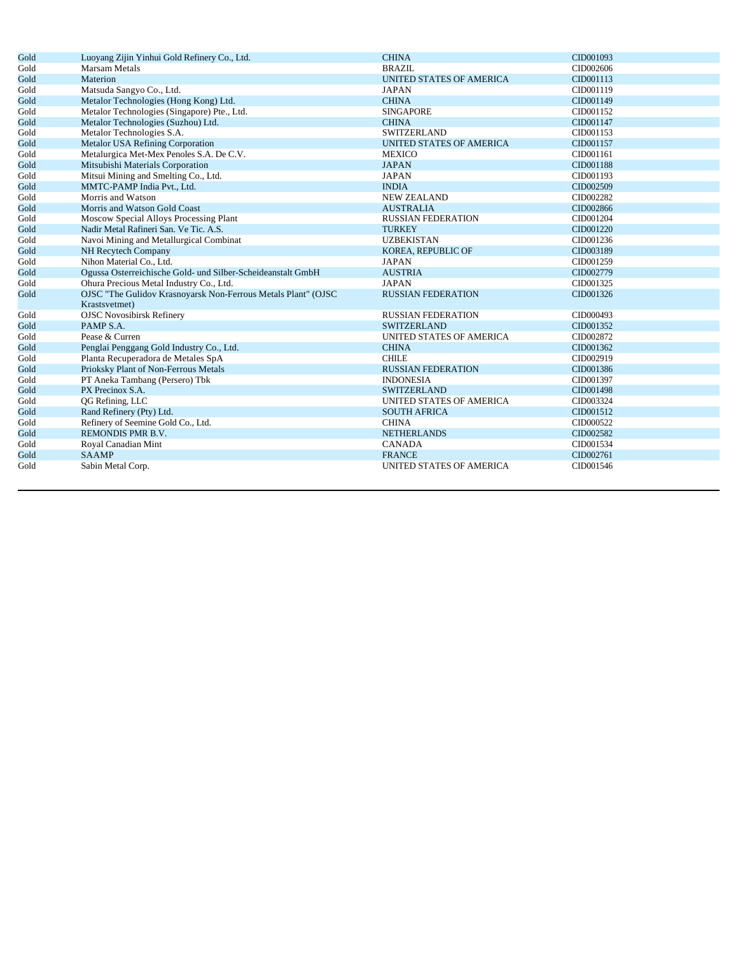| Gold | Luoyang Zijin Yinhui Gold Refinery Co., Ltd.                  | <b>CHINA</b>                    | CID001093 |
|------|---------------------------------------------------------------|---------------------------------|-----------|
| Gold | <b>Marsam Metals</b>                                          | <b>BRAZIL</b>                   | CID002606 |
| Gold | Materion                                                      | <b>UNITED STATES OF AMERICA</b> | CID001113 |
| Gold | Matsuda Sangyo Co., Ltd.                                      | <b>JAPAN</b>                    | CID001119 |
| Gold | Metalor Technologies (Hong Kong) Ltd.                         | <b>CHINA</b>                    | CID001149 |
| Gold | Metalor Technologies (Singapore) Pte., Ltd.                   | <b>SINGAPORE</b>                | CID001152 |
| Gold | Metalor Technologies (Suzhou) Ltd.                            | <b>CHINA</b>                    | CID001147 |
| Gold | Metalor Technologies S.A.                                     | <b>SWITZERLAND</b>              | CID001153 |
| Gold | <b>Metalor USA Refining Corporation</b>                       | <b>UNITED STATES OF AMERICA</b> | CID001157 |
| Gold | Metalurgica Met-Mex Penoles S.A. De C.V.                      | <b>MEXICO</b>                   | CID001161 |
| Gold | Mitsubishi Materials Corporation                              | <b>JAPAN</b>                    | CID001188 |
| Gold | Mitsui Mining and Smelting Co., Ltd.                          | <b>JAPAN</b>                    | CID001193 |
| Gold | MMTC-PAMP India Pvt., Ltd.                                    | <b>INDIA</b>                    | CID002509 |
| Gold | Morris and Watson                                             | <b>NEW ZEALAND</b>              | CID002282 |
| Gold | Morris and Watson Gold Coast                                  | <b>AUSTRALIA</b>                | CID002866 |
| Gold | Moscow Special Alloys Processing Plant                        | <b>RUSSIAN FEDERATION</b>       | CID001204 |
| Gold | Nadir Metal Rafineri San. Ve Tic. A.S.                        | <b>TURKEY</b>                   | CID001220 |
| Gold | Navoi Mining and Metallurgical Combinat                       | <b>UZBEKISTAN</b>               | CID001236 |
| Gold | NH Recytech Company                                           | KOREA, REPUBLIC OF              | CID003189 |
| Gold | Nihon Material Co., Ltd.                                      | <b>JAPAN</b>                    | CID001259 |
| Gold | Ogussa Osterreichische Gold- und Silber-Scheideanstalt GmbH   | <b>AUSTRIA</b>                  | CID002779 |
| Gold | Ohura Precious Metal Industry Co., Ltd.                       | <b>JAPAN</b>                    | CID001325 |
| Gold | OJSC "The Gulidov Krasnoyarsk Non-Ferrous Metals Plant" (OJSC | <b>RUSSIAN FEDERATION</b>       | CID001326 |
|      | Krastsvetmet)                                                 |                                 |           |
| Gold | <b>OJSC Novosibirsk Refinery</b>                              | <b>RUSSIAN FEDERATION</b>       | CID000493 |
| Gold | PAMP S.A.                                                     | <b>SWITZERLAND</b>              | CID001352 |
| Gold | Pease & Curren                                                | UNITED STATES OF AMERICA        | CID002872 |
| Gold | Penglai Penggang Gold Industry Co., Ltd.                      | <b>CHINA</b>                    | CID001362 |
| Gold | Planta Recuperadora de Metales SpA                            | <b>CHILE</b>                    | CID002919 |
| Gold | Prioksky Plant of Non-Ferrous Metals                          | <b>RUSSIAN FEDERATION</b>       | CID001386 |
| Gold | PT Aneka Tambang (Persero) Tbk                                | <b>INDONESIA</b>                | CID001397 |
| Gold | PX Precinox S.A.                                              | <b>SWITZERLAND</b>              | CID001498 |
| Gold | QG Refining, LLC                                              | UNITED STATES OF AMERICA        | CID003324 |
| Gold | Rand Refinery (Pty) Ltd.                                      | <b>SOUTH AFRICA</b>             | CID001512 |
| Gold | Refinery of Seemine Gold Co., Ltd.                            | <b>CHINA</b>                    | CID000522 |
| Gold | REMONDIS PMR B.V.                                             | <b>NETHERLANDS</b>              | CID002582 |
| Gold | Royal Canadian Mint                                           | <b>CANADA</b>                   | CID001534 |
| Gold | <b>SAAMP</b>                                                  | <b>FRANCE</b>                   | CID002761 |
| Gold | Sabin Metal Corp.                                             | UNITED STATES OF AMERICA        | CID001546 |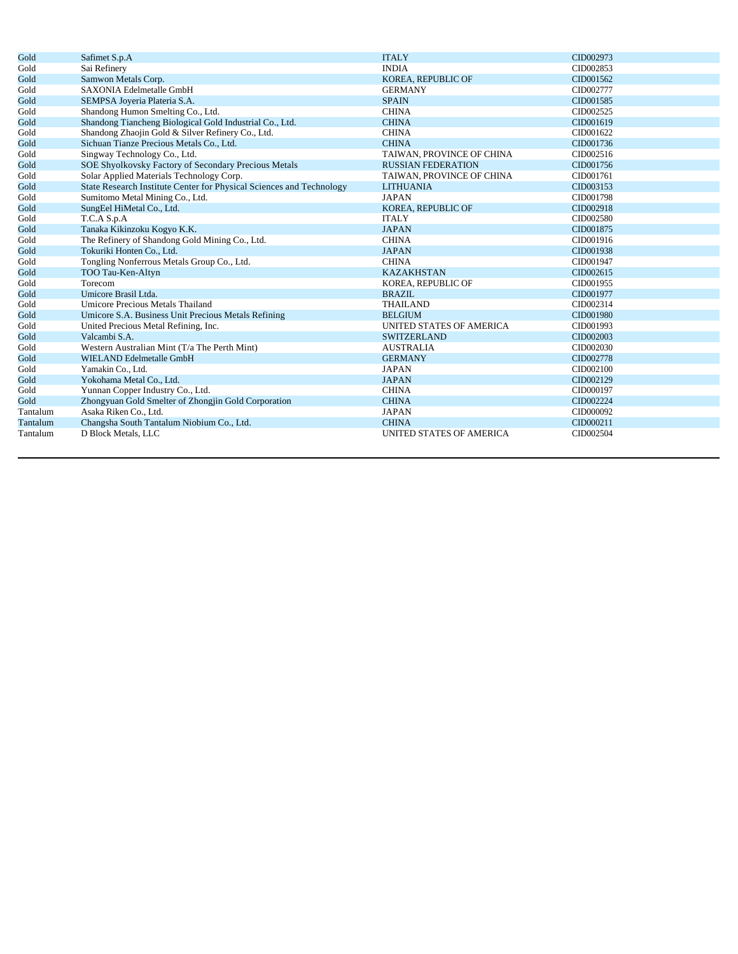| Gold     | Safimet S.p.A                                                        | <b>ITALY</b>              | CID002973 |
|----------|----------------------------------------------------------------------|---------------------------|-----------|
| Gold     | Sai Refinery                                                         | <b>INDIA</b>              | CID002853 |
| Gold     | Samwon Metals Corp.                                                  | KOREA, REPUBLIC OF        | CID001562 |
| Gold     | SAXONIA Edelmetalle GmbH                                             | <b>GERMANY</b>            | CID002777 |
| Gold     | SEMPSA Joyeria Plateria S.A.                                         | <b>SPAIN</b>              | CID001585 |
| Gold     | Shandong Humon Smelting Co., Ltd.                                    | <b>CHINA</b>              | CID002525 |
| Gold     | Shandong Tiancheng Biological Gold Industrial Co., Ltd.              | <b>CHINA</b>              | CID001619 |
| Gold     | Shandong Zhaojin Gold & Silver Refinery Co., Ltd.                    | <b>CHINA</b>              | CID001622 |
| Gold     | Sichuan Tianze Precious Metals Co., Ltd.                             | <b>CHINA</b>              | CID001736 |
| Gold     | Singway Technology Co., Ltd.                                         | TAIWAN, PROVINCE OF CHINA | CID002516 |
| Gold     | SOE Shyolkovsky Factory of Secondary Precious Metals                 | <b>RUSSIAN FEDERATION</b> | CID001756 |
| Gold     | Solar Applied Materials Technology Corp.                             | TAIWAN, PROVINCE OF CHINA | CID001761 |
| Gold     | State Research Institute Center for Physical Sciences and Technology | <b>LITHUANIA</b>          | CID003153 |
| Gold     | Sumitomo Metal Mining Co., Ltd.                                      | <b>JAPAN</b>              | CID001798 |
| Gold     | SungEel HiMetal Co., Ltd.                                            | KOREA, REPUBLIC OF        | CID002918 |
| Gold     | T.C.A S.p.A                                                          | <b>ITALY</b>              | CID002580 |
| Gold     | Tanaka Kikinzoku Kogyo K.K.                                          | <b>JAPAN</b>              | CID001875 |
| Gold     | The Refinery of Shandong Gold Mining Co., Ltd.                       | <b>CHINA</b>              | CID001916 |
| Gold     | Tokuriki Honten Co., Ltd.                                            | <b>JAPAN</b>              | CID001938 |
| Gold     | Tongling Nonferrous Metals Group Co., Ltd.                           | <b>CHINA</b>              | CID001947 |
| Gold     | TOO Tau-Ken-Altyn                                                    | <b>KAZAKHSTAN</b>         | CID002615 |
| Gold     | Torecom                                                              | KOREA, REPUBLIC OF        | CID001955 |
| Gold     | Umicore Brasil Ltda.                                                 | <b>BRAZIL</b>             | CID001977 |
| Gold     | Umicore Precious Metals Thailand                                     | <b>THAILAND</b>           | CID002314 |
| Gold     | Umicore S.A. Business Unit Precious Metals Refining                  | <b>BELGIUM</b>            | CID001980 |
| Gold     | United Precious Metal Refining, Inc.                                 | UNITED STATES OF AMERICA  | CID001993 |
| Gold     | Valcambi S.A.                                                        | <b>SWITZERLAND</b>        | CID002003 |
| Gold     | Western Australian Mint (T/a The Perth Mint)                         | <b>AUSTRALIA</b>          | CID002030 |
| Gold     | WIELAND Edelmetalle GmbH                                             | <b>GERMANY</b>            | CID002778 |
| Gold     | Yamakin Co., Ltd.                                                    | <b>JAPAN</b>              | CID002100 |
| Gold     | Yokohama Metal Co., Ltd.                                             | <b>JAPAN</b>              | CID002129 |
| Gold     | Yunnan Copper Industry Co., Ltd.                                     | <b>CHINA</b>              | CID000197 |
| Gold     | Zhongyuan Gold Smelter of Zhongjin Gold Corporation                  | <b>CHINA</b>              | CID002224 |
| Tantalum | Asaka Riken Co., Ltd.                                                | <b>JAPAN</b>              | CID000092 |
| Tantalum | Changsha South Tantalum Niobium Co., Ltd.                            | <b>CHINA</b>              | CID000211 |
| Tantalum | D Block Metals, LLC                                                  | UNITED STATES OF AMERICA  | CID002504 |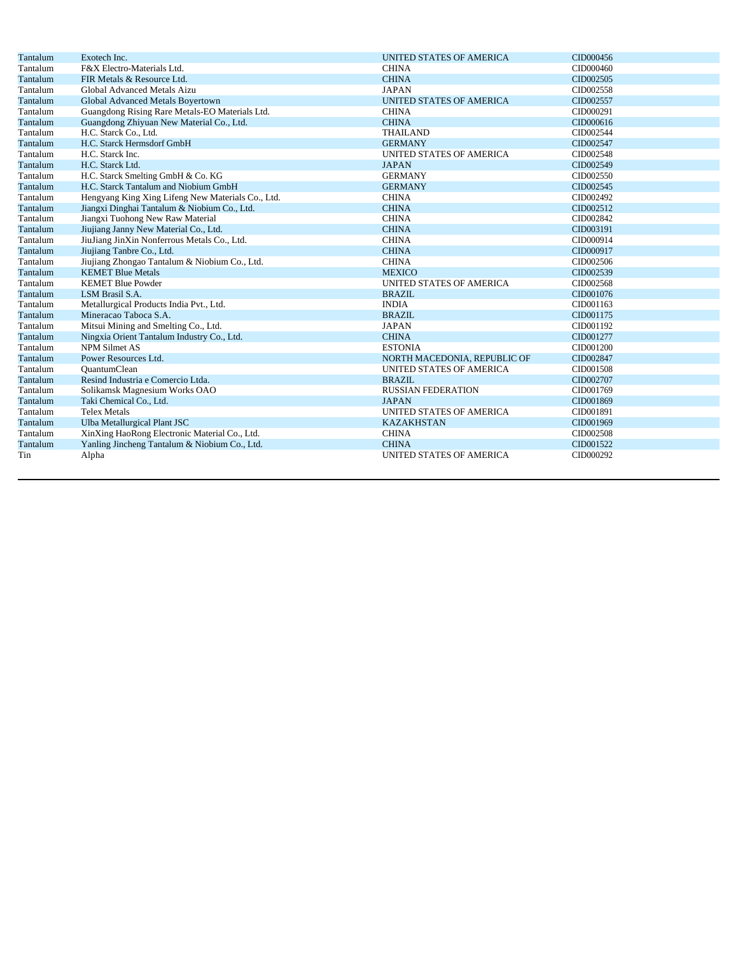| Tantalum | Exotech Inc.                                      | <b>UNITED STATES OF AMERICA</b> | CID000456 |
|----------|---------------------------------------------------|---------------------------------|-----------|
| Tantalum | F&X Electro-Materials Ltd.                        | <b>CHINA</b>                    | CID000460 |
| Tantalum | FIR Metals & Resource Ltd.                        | <b>CHINA</b>                    | CID002505 |
| Tantalum | Global Advanced Metals Aizu                       | <b>JAPAN</b>                    | CID002558 |
| Tantalum | Global Advanced Metals Boyertown                  | <b>UNITED STATES OF AMERICA</b> | CID002557 |
| Tantalum | Guangdong Rising Rare Metals-EO Materials Ltd.    | <b>CHINA</b>                    | CID000291 |
| Tantalum | Guangdong Zhiyuan New Material Co., Ltd.          | <b>CHINA</b>                    | CID000616 |
| Tantalum | H.C. Starck Co., Ltd.                             | <b>THAILAND</b>                 | CID002544 |
| Tantalum | H.C. Starck Hermsdorf GmbH                        | <b>GERMANY</b>                  | CID002547 |
| Tantalum | H.C. Starck Inc.                                  | UNITED STATES OF AMERICA        | CID002548 |
| Tantalum | H.C. Starck Ltd.                                  | <b>JAPAN</b>                    | CID002549 |
| Tantalum | H.C. Starck Smelting GmbH & Co. KG                | <b>GERMANY</b>                  | CID002550 |
| Tantalum | H.C. Starck Tantalum and Niobium GmbH             | <b>GERMANY</b>                  | CID002545 |
| Tantalum | Hengyang King Xing Lifeng New Materials Co., Ltd. | <b>CHINA</b>                    | CID002492 |
| Tantalum | Jiangxi Dinghai Tantalum & Niobium Co., Ltd.      | <b>CHINA</b>                    | CID002512 |
| Tantalum | Jiangxi Tuohong New Raw Material                  | <b>CHINA</b>                    | CID002842 |
| Tantalum | Jiujiang Janny New Material Co., Ltd.             | <b>CHINA</b>                    | CID003191 |
| Tantalum | JiuJiang JinXin Nonferrous Metals Co., Ltd.       | <b>CHINA</b>                    | CID000914 |
| Tantalum | Jiujiang Tanbre Co., Ltd.                         | <b>CHINA</b>                    | CID000917 |
| Tantalum | Jiujiang Zhongao Tantalum & Niobium Co., Ltd.     | <b>CHINA</b>                    | CID002506 |
| Tantalum | <b>KEMET Blue Metals</b>                          | <b>MEXICO</b>                   | CID002539 |
| Tantalum | <b>KEMET Blue Powder</b>                          | UNITED STATES OF AMERICA        | CID002568 |
| Tantalum | LSM Brasil S.A.                                   | <b>BRAZIL</b>                   | CID001076 |
| Tantalum | Metallurgical Products India Pvt., Ltd.           | <b>INDIA</b>                    | CID001163 |
| Tantalum | Mineracao Taboca S.A.                             | <b>BRAZIL</b>                   | CID001175 |
| Tantalum | Mitsui Mining and Smelting Co., Ltd.              | <b>JAPAN</b>                    | CID001192 |
| Tantalum | Ningxia Orient Tantalum Industry Co., Ltd.        | <b>CHINA</b>                    | CID001277 |
| Tantalum | <b>NPM Silmet AS</b>                              | <b>ESTONIA</b>                  | CID001200 |
| Tantalum | Power Resources Ltd.                              | NORTH MACEDONIA, REPUBLIC OF    | CID002847 |
| Tantalum | <b>OuantumClean</b>                               | UNITED STATES OF AMERICA        | CID001508 |
| Tantalum | Resind Industria e Comercio Ltda.                 | <b>BRAZIL</b>                   | CID002707 |
| Tantalum | Solikamsk Magnesium Works OAO                     | <b>RUSSIAN FEDERATION</b>       | CID001769 |
| Tantalum | Taki Chemical Co., Ltd.                           | <b>JAPAN</b>                    | CID001869 |
| Tantalum | <b>Telex Metals</b>                               | UNITED STATES OF AMERICA        | CID001891 |
| Tantalum | Ulba Metallurgical Plant JSC                      | <b>KAZAKHSTAN</b>               | CID001969 |
| Tantalum | XinXing HaoRong Electronic Material Co., Ltd.     | <b>CHINA</b>                    | CID002508 |
| Tantalum | Yanling Jincheng Tantalum & Niobium Co., Ltd.     | <b>CHINA</b>                    | CID001522 |
| Tin      | Alpha                                             | UNITED STATES OF AMERICA        | CID000292 |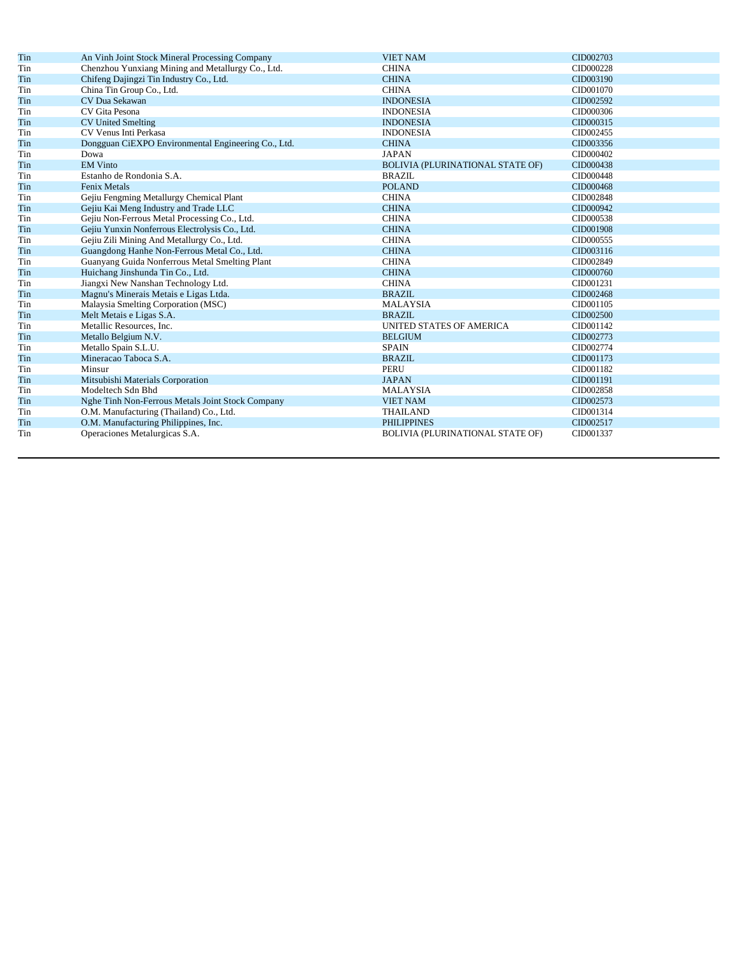| Tin                                  | An Vinh Joint Stock Mineral Processing Company      | <b>VIET NAM</b>                         | CID002703 |
|--------------------------------------|-----------------------------------------------------|-----------------------------------------|-----------|
| Tin                                  | Chenzhou Yunxiang Mining and Metallurgy Co., Ltd.   | <b>CHINA</b>                            | CID000228 |
| Tin                                  | Chifeng Dajingzi Tin Industry Co., Ltd.             | <b>CHINA</b>                            | CID003190 |
| Tin                                  | China Tin Group Co., Ltd.                           | <b>CHINA</b>                            | CID001070 |
| Tin                                  | CV Dua Sekawan                                      | <b>INDONESIA</b>                        | CID002592 |
| Tin                                  | CV Gita Pesona                                      | <b>INDONESIA</b>                        | CID000306 |
| Tin                                  | <b>CV United Smelting</b>                           | <b>INDONESIA</b>                        | CID000315 |
| Tin                                  | CV Venus Inti Perkasa                               | <b>INDONESIA</b>                        | CID002455 |
| Tin                                  | Dongguan CiEXPO Environmental Engineering Co., Ltd. | <b>CHINA</b>                            | CID003356 |
| Tin                                  | Dowa                                                | <b>JAPAN</b>                            | CID000402 |
| Tin                                  | <b>EM Vinto</b>                                     | <b>BOLIVIA (PLURINATIONAL STATE OF)</b> | CID000438 |
| Tin                                  | Estanho de Rondonia S.A.                            | <b>BRAZIL</b>                           | CID000448 |
| Tin                                  | <b>Fenix Metals</b>                                 | <b>POLAND</b>                           | CID000468 |
| Tin                                  | Gejiu Fengming Metallurgy Chemical Plant            | <b>CHINA</b>                            | CID002848 |
| Tin                                  | Gejiu Kai Meng Industry and Trade LLC               | <b>CHINA</b>                            | CID000942 |
| Tin                                  | Gejiu Non-Ferrous Metal Processing Co., Ltd.        | <b>CHINA</b>                            | CID000538 |
| Tin                                  | Gejiu Yunxin Nonferrous Electrolysis Co., Ltd.      | <b>CHINA</b>                            | CID001908 |
| Tin                                  | Gejiu Zili Mining And Metallurgy Co., Ltd.          | <b>CHINA</b>                            | CID000555 |
| Tin                                  | Guangdong Hanhe Non-Ferrous Metal Co., Ltd.         | <b>CHINA</b>                            | CID003116 |
| Tin                                  | Guanyang Guida Nonferrous Metal Smelting Plant      | <b>CHINA</b>                            | CID002849 |
| Tin                                  | Huichang Jinshunda Tin Co., Ltd.                    | <b>CHINA</b>                            | CID000760 |
| Tin                                  | Jiangxi New Nanshan Technology Ltd.                 | <b>CHINA</b>                            | CID001231 |
| Tin                                  | Magnu's Minerais Metais e Ligas Ltda.               | <b>BRAZIL</b>                           | CID002468 |
| Tin                                  | Malaysia Smelting Corporation (MSC)                 | <b>MALAYSIA</b>                         | CID001105 |
| Tin                                  | Melt Metais e Ligas S.A.                            | <b>BRAZIL</b>                           | CID002500 |
| Tin                                  | Metallic Resources, Inc.                            | UNITED STATES OF AMERICA                | CID001142 |
| Tin                                  | Metallo Belgium N.V.                                | <b>BELGIUM</b>                          | CID002773 |
| Tin                                  | Metallo Spain S.L.U.                                | <b>SPAIN</b>                            | CID002774 |
| Tin                                  | Mineracao Taboca S.A.                               | <b>BRAZIL</b>                           | CID001173 |
| Tin                                  | Minsur                                              | <b>PERU</b>                             | CID001182 |
| Tin                                  | Mitsubishi Materials Corporation                    | <b>JAPAN</b>                            | CID001191 |
| Tin                                  | Modeltech Sdn Bhd                                   | <b>MALAYSIA</b>                         | CID002858 |
| Tin                                  | Nghe Tinh Non-Ferrous Metals Joint Stock Company    | <b>VIET NAM</b>                         | CID002573 |
| Tin                                  | O.M. Manufacturing (Thailand) Co., Ltd.             | <b>THAILAND</b>                         | CID001314 |
| Tin                                  | O.M. Manufacturing Philippines, Inc.                | <b>PHILIPPINES</b>                      | CID002517 |
| Tin<br>Operaciones Metalurgicas S.A. |                                                     |                                         |           |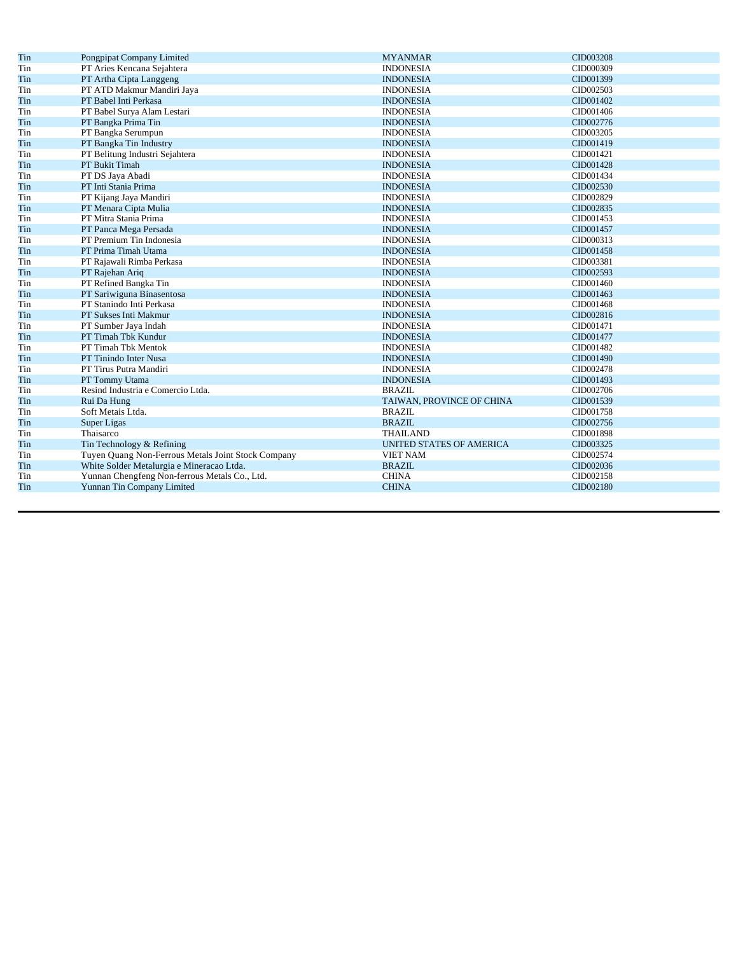| Tin | Pongpipat Company Limited                          | <b>MYANMAR</b>                  | CID003208 |
|-----|----------------------------------------------------|---------------------------------|-----------|
| Tin | PT Aries Kencana Sejahtera                         | <b>INDONESIA</b>                | CID000309 |
| Tin | PT Artha Cipta Langgeng                            | <b>INDONESIA</b>                | CID001399 |
| Tin | PT ATD Makmur Mandiri Jaya                         | <b>INDONESIA</b>                | CID002503 |
| Tin | PT Babel Inti Perkasa                              | <b>INDONESIA</b>                | CID001402 |
| Tin | PT Babel Surya Alam Lestari                        | <b>INDONESIA</b>                | CID001406 |
| Tin | PT Bangka Prima Tin                                | <b>INDONESIA</b>                | CID002776 |
| Tin | PT Bangka Serumpun                                 | <b>INDONESIA</b>                | CID003205 |
| Tin | PT Bangka Tin Industry                             | <b>INDONESIA</b>                | CID001419 |
| Tin | PT Belitung Industri Sejahtera                     | <b>INDONESIA</b>                | CID001421 |
| Tin | PT Bukit Timah                                     | <b>INDONESIA</b>                | CID001428 |
| Tin | PT DS Jaya Abadi                                   | <b>INDONESIA</b>                | CID001434 |
| Tin | PT Inti Stania Prima                               | <b>INDONESIA</b>                | CID002530 |
| Tin | PT Kijang Jaya Mandiri                             | <b>INDONESIA</b>                | CID002829 |
| Tin | PT Menara Cipta Mulia                              | <b>INDONESIA</b>                | CID002835 |
| Tin | PT Mitra Stania Prima                              | <b>INDONESIA</b>                | CID001453 |
| Tin | PT Panca Mega Persada                              | <b>INDONESIA</b>                | CID001457 |
| Tin | PT Premium Tin Indonesia                           | <b>INDONESIA</b>                | CID000313 |
| Tin | PT Prima Timah Utama                               | <b>INDONESIA</b>                | CID001458 |
| Tin | PT Rajawali Rimba Perkasa                          | <b>INDONESIA</b>                | CID003381 |
| Tin | PT Rajehan Ariq                                    | <b>INDONESIA</b>                | CID002593 |
| Tin | PT Refined Bangka Tin                              | <b>INDONESIA</b>                | CID001460 |
| Tin | PT Sariwiguna Binasentosa                          | <b>INDONESIA</b>                | CID001463 |
| Tin | PT Stanindo Inti Perkasa                           | <b>INDONESIA</b>                | CID001468 |
| Tin | PT Sukses Inti Makmur                              | <b>INDONESIA</b>                | CID002816 |
| Tin | PT Sumber Jaya Indah                               | <b>INDONESIA</b>                | CID001471 |
| Tin | PT Timah Tbk Kundur                                | <b>INDONESIA</b>                | CID001477 |
| Tin | PT Timah Tbk Mentok                                | <b>INDONESIA</b>                | CID001482 |
| Tin | PT Tinindo Inter Nusa                              | <b>INDONESIA</b>                | CID001490 |
| Tin | PT Tirus Putra Mandiri                             | <b>INDONESIA</b>                | CID002478 |
| Tin | PT Tommy Utama                                     | <b>INDONESIA</b>                | CID001493 |
| Tin | Resind Industria e Comercio Ltda.                  | <b>BRAZIL</b>                   | CID002706 |
| Tin | Rui Da Hung                                        | TAIWAN, PROVINCE OF CHINA       | CID001539 |
| Tin | Soft Metais Ltda.                                  | <b>BRAZIL</b>                   | CID001758 |
| Tin | Super Ligas                                        | <b>BRAZIL</b>                   | CID002756 |
| Tin | Thaisarco                                          | <b>THAILAND</b>                 | CID001898 |
| Tin | Tin Technology & Refining                          | <b>UNITED STATES OF AMERICA</b> | CID003325 |
| Tin | Tuyen Quang Non-Ferrous Metals Joint Stock Company | <b>VIET NAM</b>                 | CID002574 |
| Tin | White Solder Metalurgia e Mineracao Ltda.          | <b>BRAZIL</b>                   | CID002036 |
| Tin | Yunnan Chengfeng Non-ferrous Metals Co., Ltd.      | <b>CHINA</b>                    | CID002158 |
| Tin | Yunnan Tin Company Limited                         | <b>CHINA</b>                    | CID002180 |
|     |                                                    |                                 |           |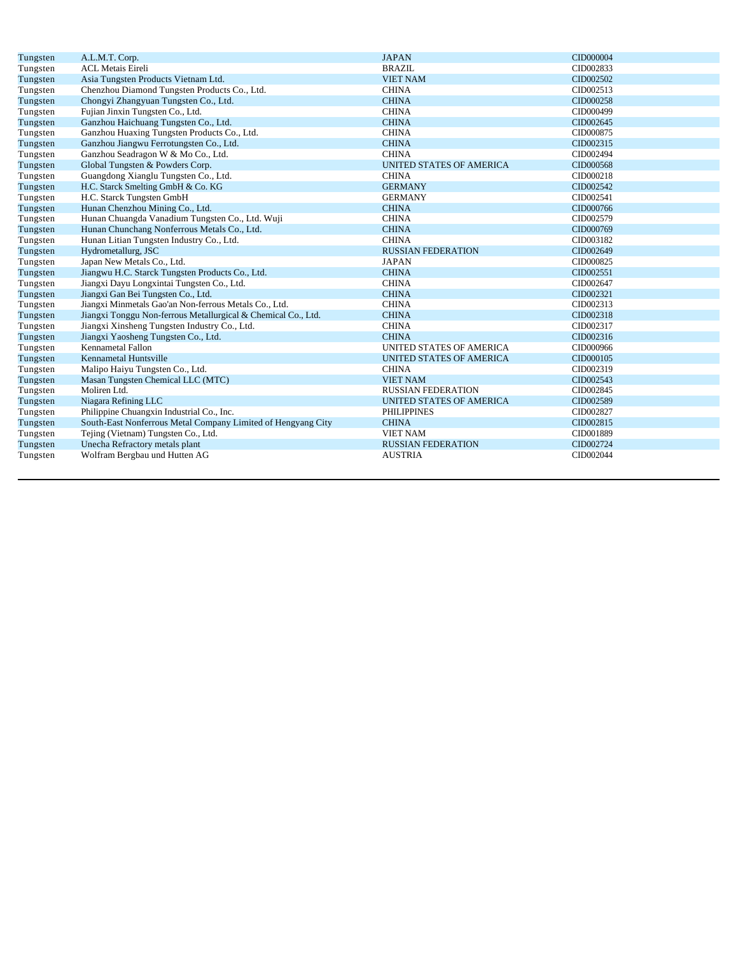| Tungsten | A.L.M.T. Corp.                                                | <b>JAPAN</b>                    | CID000004 |
|----------|---------------------------------------------------------------|---------------------------------|-----------|
| Tungsten | <b>ACL Metais Eireli</b>                                      | <b>BRAZIL</b>                   | CID002833 |
| Tungsten | Asia Tungsten Products Vietnam Ltd.                           | <b>VIET NAM</b>                 | CID002502 |
| Tungsten | Chenzhou Diamond Tungsten Products Co., Ltd.                  | <b>CHINA</b>                    | CID002513 |
| Tungsten | Chongyi Zhangyuan Tungsten Co., Ltd.                          | <b>CHINA</b>                    | CID000258 |
| Tungsten | Fujian Jinxin Tungsten Co., Ltd.                              | <b>CHINA</b>                    | CID000499 |
| Tungsten | Ganzhou Haichuang Tungsten Co., Ltd.                          | <b>CHINA</b>                    | CID002645 |
| Tungsten | Ganzhou Huaxing Tungsten Products Co., Ltd.                   | <b>CHINA</b>                    | CID000875 |
| Tungsten | Ganzhou Jiangwu Ferrotungsten Co., Ltd.                       | <b>CHINA</b>                    | CID002315 |
| Tungsten | Ganzhou Seadragon W & Mo Co., Ltd.                            | <b>CHINA</b>                    | CID002494 |
| Tungsten | Global Tungsten & Powders Corp.                               | <b>UNITED STATES OF AMERICA</b> | CID000568 |
| Tungsten | Guangdong Xianglu Tungsten Co., Ltd.                          | <b>CHINA</b>                    | CID000218 |
| Tungsten | H.C. Starck Smelting GmbH & Co. KG                            | <b>GERMANY</b>                  | CID002542 |
| Tungsten | H.C. Starck Tungsten GmbH                                     | <b>GERMANY</b>                  | CID002541 |
| Tungsten | Hunan Chenzhou Mining Co., Ltd.                               | <b>CHINA</b>                    | CID000766 |
| Tungsten | Hunan Chuangda Vanadium Tungsten Co., Ltd. Wuji               | <b>CHINA</b>                    | CID002579 |
| Tungsten | Hunan Chunchang Nonferrous Metals Co., Ltd.                   | <b>CHINA</b>                    | CID000769 |
| Tungsten | Hunan Litian Tungsten Industry Co., Ltd.                      | <b>CHINA</b>                    | CID003182 |
| Tungsten | Hydrometallurg, JSC                                           | <b>RUSSIAN FEDERATION</b>       | CID002649 |
| Tungsten | Japan New Metals Co., Ltd.                                    | <b>JAPAN</b>                    | CID000825 |
| Tungsten | Jiangwu H.C. Starck Tungsten Products Co., Ltd.               | <b>CHINA</b>                    | CID002551 |
| Tungsten | Jiangxi Dayu Longxintai Tungsten Co., Ltd.                    | <b>CHINA</b>                    | CID002647 |
| Tungsten | Jiangxi Gan Bei Tungsten Co., Ltd.                            | <b>CHINA</b>                    | CID002321 |
| Tungsten | Jiangxi Minmetals Gao'an Non-ferrous Metals Co., Ltd.         | <b>CHINA</b>                    | CID002313 |
| Tungsten | Jiangxi Tonggu Non-ferrous Metallurgical & Chemical Co., Ltd. | <b>CHINA</b>                    | CID002318 |
| Tungsten | Jiangxi Xinsheng Tungsten Industry Co., Ltd.                  | <b>CHINA</b>                    | CID002317 |
| Tungsten | Jiangxi Yaosheng Tungsten Co., Ltd.                           | <b>CHINA</b>                    | CID002316 |
| Tungsten | <b>Kennametal Fallon</b>                                      | UNITED STATES OF AMERICA        | CID000966 |
| Tungsten | <b>Kennametal Huntsville</b>                                  | UNITED STATES OF AMERICA        | CID000105 |
| Tungsten | Malipo Haiyu Tungsten Co., Ltd.                               | <b>CHINA</b>                    | CID002319 |
| Tungsten | Masan Tungsten Chemical LLC (MTC)                             | <b>VIET NAM</b>                 | CID002543 |
| Tungsten | Moliren Ltd.                                                  | <b>RUSSIAN FEDERATION</b>       | CID002845 |
| Tungsten | Niagara Refining LLC                                          | <b>UNITED STATES OF AMERICA</b> | CID002589 |
| Tungsten | Philippine Chuangxin Industrial Co., Inc.                     | <b>PHILIPPINES</b>              | CID002827 |
| Tungsten | South-East Nonferrous Metal Company Limited of Hengyang City  | <b>CHINA</b>                    | CID002815 |
| Tungsten | Tejing (Vietnam) Tungsten Co., Ltd.                           | <b>VIET NAM</b>                 | CID001889 |
| Tungsten | Unecha Refractory metals plant                                | <b>RUSSIAN FEDERATION</b>       | CID002724 |
| Tungsten | Wolfram Bergbau und Hutten AG                                 | <b>AUSTRIA</b>                  | CID002044 |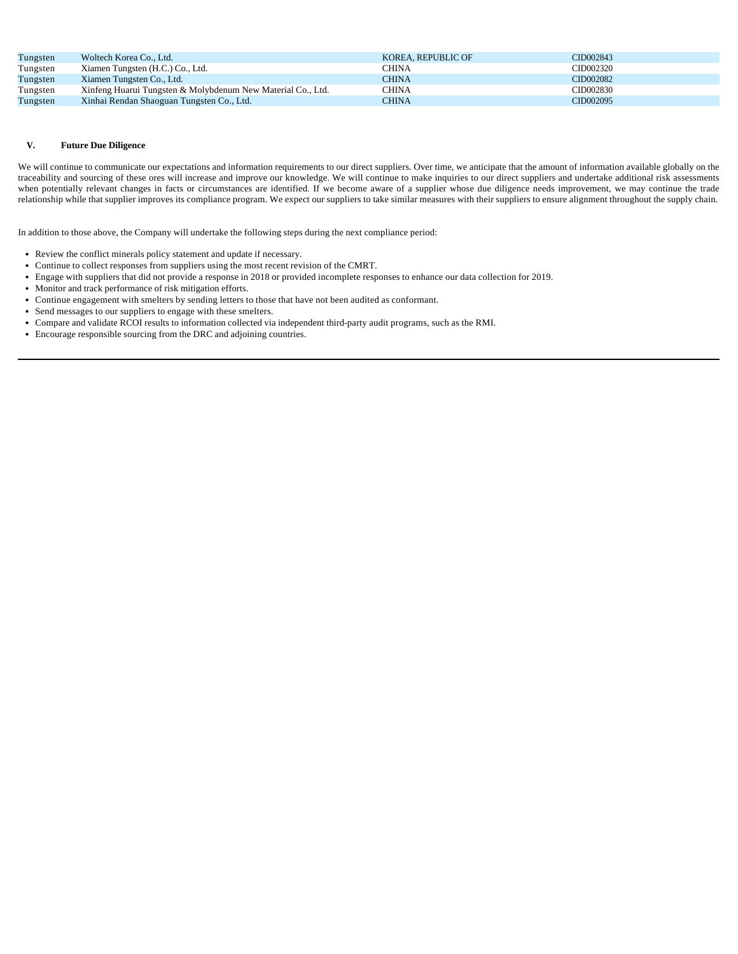| Tungsten | Woltech Korea Co., Ltd.                                     | KOREA, REPUBLIC OF | CID002843 |
|----------|-------------------------------------------------------------|--------------------|-----------|
| Tungsten | Xiamen Tungsten (H.C.) Co., Ltd.                            | CHINA              | CID002320 |
| Tungsten | Xiamen Tungsten Co., Ltd.                                   | CHINA              | CID002082 |
| Tungsten | Xinfeng Huarui Tungsten & Molybdenum New Material Co., Ltd. | <b>CHINA</b>       | CID002830 |
| Tungsten | Xinhai Rendan Shaoguan Tungsten Co., Ltd.                   | CHINA              | CID002095 |

### **V. Future Due Diligence**

We will continue to communicate our expectations and information requirements to our direct suppliers. Over time, we anticipate that the amount of information available globally on the traceability and sourcing of these ores will increase and improve our knowledge. We will continue to make inquiries to our direct suppliers and undertake additional risk assessments when potentially relevant changes in facts or circumstances are identified. If we become aware of a supplier whose due diligence needs improvement, we may continue the trade relationship while that supplier improves its compliance program. We expect our suppliers to take similar measures with their suppliers to ensure alignment throughout the supply chain.

In addition to those above, the Company will undertake the following steps during the next compliance period:

Review the conflict minerals policy statement and update if necessary.

Continue to collect responses from suppliers using the most recent revision of the CMRT.

Engage with suppliers that did not provide a response in 2018 or provided incomplete responses to enhance our data collection for 2019.

Monitor and track performance of risk mitigation efforts.

Continue engagement with smelters by sending letters to those that have not been audited as conformant.

Send messages to our suppliers to engage with these smelters.

Compare and validate RCOI results to information collected via independent third-party audit programs, such as the RMI.

Encourage responsible sourcing from the DRC and adjoining countries.